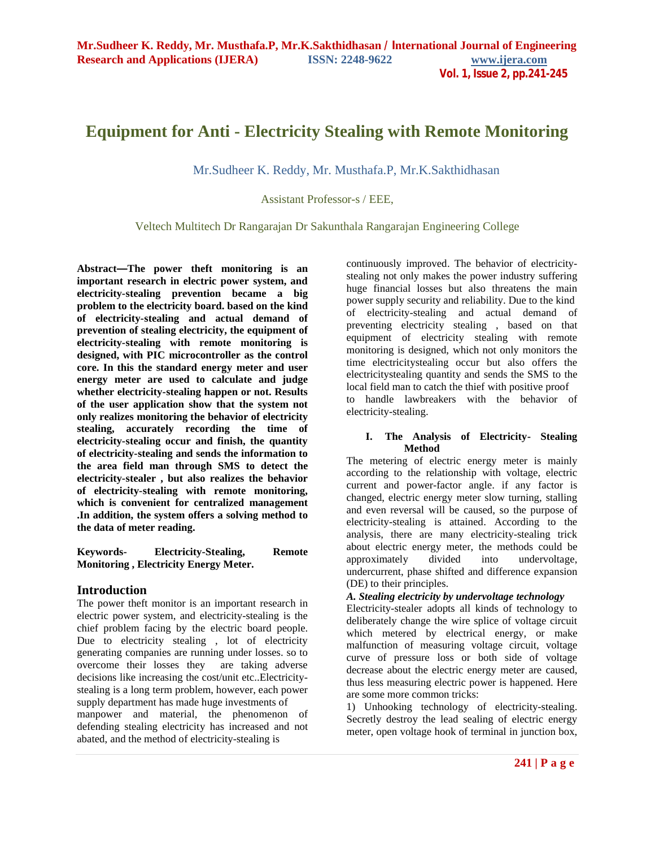# **Equipment for Anti - Electricity Stealing with Remote Monitoring**

Mr.Sudheer K. Reddy, Mr. Musthafa.P, Mr.K.Sakthidhasan

Assistant Professor-s / EEE,

Veltech Multitech Dr Rangarajan Dr Sakunthala Rangarajan Engineering College

**Abstract—The power theft monitoring is an important research in electric power system, and electricity-stealing prevention became a big problem to the electricity board. based on the kind of electricity-stealing and actual demand of prevention of stealing electricity, the equipment of electricity-stealing with remote monitoring is designed, with PIC microcontroller as the control core. In this the standard energy meter and user energy meter are used to calculate and judge whether electricity-stealing happen or not. Results of the user application show that the system not only realizes monitoring the behavior of electricity stealing, accurately recording the time of electricity-stealing occur and finish, the quantity of electricity-stealing and sends the information to the area field man through SMS to detect the electricity-stealer , but also realizes the behavior of electricity-stealing with remote monitoring, which is convenient for centralized management .In addition, the system offers a solving method to the data of meter reading.**

**Keywords- Electricity-Stealing, Remote Monitoring , Electricity Energy Meter.**

# **Introduction**

The power theft monitor is an important research in electric power system, and electricity-stealing is the chief problem facing by the electric board people. Due to electricity stealing , lot of electricity generating companies are running under losses. so to overcome their losses they are taking adverse decisions like increasing the cost/unit etc..Electricitystealing is a long term problem, however, each power supply department has made huge investments of manpower and material, the phenomenon of defending stealing electricity has increased and not abated, and the method of electricity-stealing is

continuously improved. The behavior of electricitystealing not only makes the power industry suffering huge financial losses but also threatens the main power supply security and reliability. Due to the kind of electricity-stealing and actual demand of preventing electricity stealing , based on that equipment of electricity stealing with remote monitoring is designed, which not only monitors the time electricitystealing occur but also offers the electricitystealing quantity and sends the SMS to the local field man to catch the thief with positive proof to handle lawbreakers with the behavior of electricity-stealing.

# **I. The Analysis of Electricity- Stealing Method**

The metering of electric energy meter is mainly according to the relationship with voltage, electric current and power-factor angle. if any factor is changed, electric energy meter slow turning, stalling and even reversal will be caused, so the purpose of electricity-stealing is attained. According to the analysis, there are many electricity-stealing trick about electric energy meter, the methods could be approximately divided into undervoltage, approximately divided into undercurrent, phase shifted and difference expansion (DE) to their principles.

# *A. Stealing electricity by undervoltage technology*

Electricity-stealer adopts all kinds of technology to deliberately change the wire splice of voltage circuit which metered by electrical energy, or make malfunction of measuring voltage circuit, voltage curve of pressure loss or both side of voltage decrease about the electric energy meter are caused, thus less measuring electric power is happened. Here are some more common tricks:

1) Unhooking technology of electricity-stealing. Secretly destroy the lead sealing of electric energy meter, open voltage hook of terminal in junction box,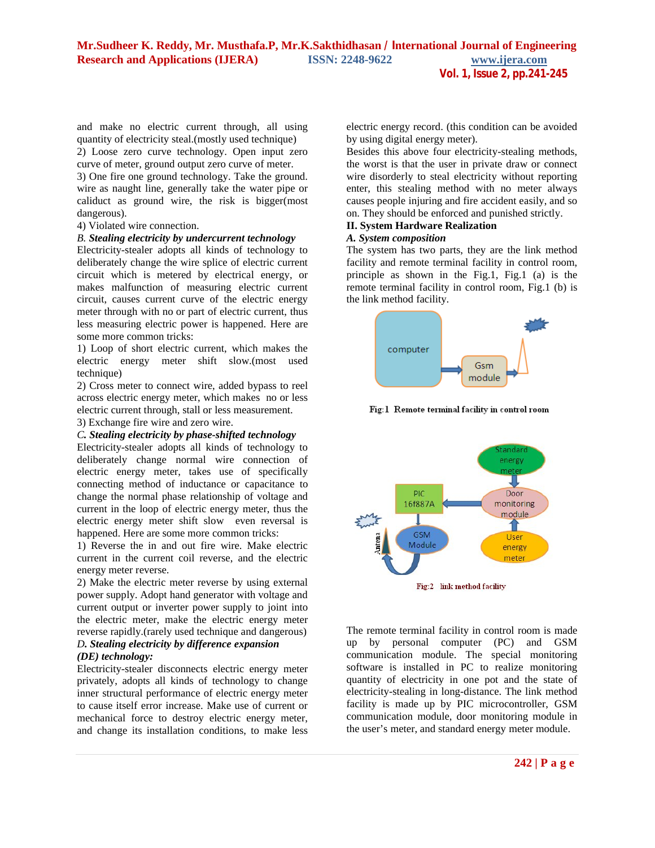and make no electric current through, all using quantity of electricity steal.(mostly used technique) 2) Loose zero curve technology. Open input zero curve of meter, ground output zero curve of meter.

3) One fire one ground technology. Take the ground. wire as naught line, generally take the water pipe or caliduct as ground wire, the risk is bigger(most dangerous).

# 4) Violated wire connection.

# *B. Stealing electricity by undercurrent technology*

Electricity-stealer adopts all kinds of technology to deliberately change the wire splice of electric current circuit which is metered by electrical energy, or makes malfunction of measuring electric current circuit, causes current curve of the electric energy meter through with no or part of electric current, thus less measuring electric power is happened. Here are some more common tricks:

1) Loop of short electric current, which makes the electric energy meter shift slow.(most used technique)

2) Cross meter to connect wire, added bypass to reel across electric energy meter, which makes no or less electric current through, stall or less measurement.

3) Exchange fire wire and zero wire.

# *C. Stealing electricity by phase-shifted technology*

Electricity-stealer adopts all kinds of technology to deliberately change normal wire connection of electric energy meter, takes use of specifically connecting method of inductance or capacitance to change the normal phase relationship of voltage and current in the loop of electric energy meter, thus the electric energy meter shift slow even reversal is happened. Here are some more common tricks:

1) Reverse the in and out fire wire. Make electric current in the current coil reverse, and the electric energy meter reverse.

2) Make the electric meter reverse by using external power supply. Adopt hand generator with voltage and current output or inverter power supply to joint into the electric meter, make the electric energy meter reverse rapidly.(rarely used technique and dangerous)

# *D. Stealing electricity by difference expansion (DE) technology:*

Electricity-stealer disconnects electric energy meter privately, adopts all kinds of technology to change inner structural performance of electric energy meter to cause itself error increase. Make use of current or mechanical force to destroy electric energy meter, and change its installation conditions, to make less

electric energy record. (this condition can be avoided by using digital energy meter).

Besides this above four electricity-stealing methods, the worst is that the user in private draw or connect wire disorderly to steal electricity without reporting enter, this stealing method with no meter always causes people injuring and fire accident easily, and so on. They should be enforced and punished strictly.

#### **II. System Hardware Realization**

#### *A. System composition*

The system has two parts, they are the link method facility and remote terminal facility in control room, principle as shown in the Fig.1, Fig.1 (a) is the remote terminal facility in control room, Fig.1 (b) is the link method facility.



Fig:1 Remote terminal facility in control room



The remote terminal facility in control room is made up by personal computer (PC) and GSM communication module. The special monitoring software is installed in PC to realize monitoring quantity of electricity in one pot and the state of electricity-stealing in long-distance. The link method facility is made up by PIC microcontroller, GSM communication module, door monitoring module in the user's meter, and standard energy meter module.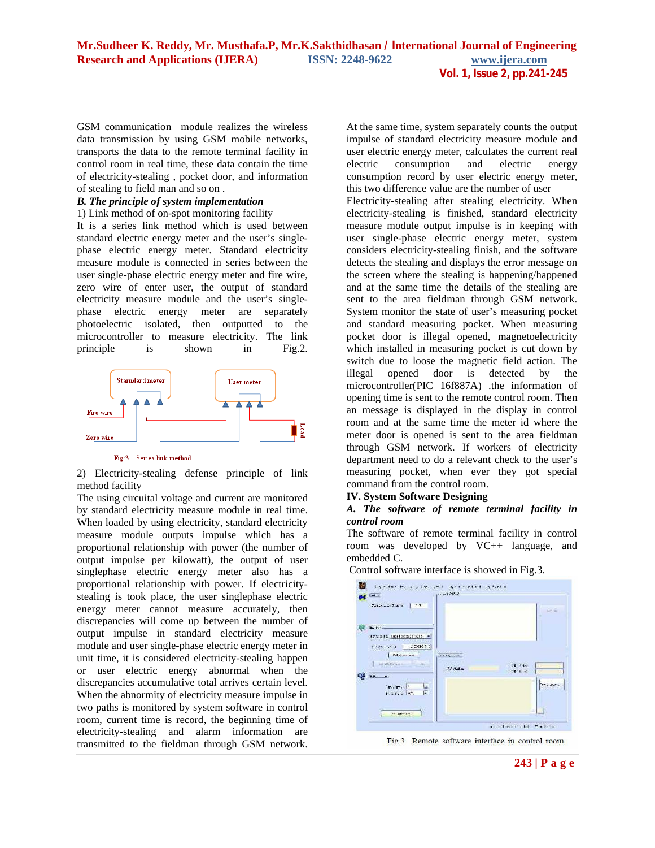GSM communication module realizes the wireless data transmission by using GSM mobile networks, transports the data to the remote terminal facility in control room in real time, these data contain the time of electricity-stealing , pocket door, and information of stealing to field man and so on .

## *B. The principle of system implementation*

#### 1) Link method of on-spot monitoring facility

It is a series link method which is used between standard electric energy meter and the user's singlephase electric energy meter. Standard electricity measure module is connected in series between the user single-phase electric energy meter and fire wire, zero wire of enter user, the output of standard electricity measure module and the user's singlephase electric energy meter are separately photoelectric isolated, then outputted to the microcontroller to measure electricity. The link principle is shown in Fig.2.



#### Fig:3 Series link method

2) Electricity-stealing defense principle of link method facility

The using circuital voltage and current are monitored by standard electricity measure module in real time. When loaded by using electricity, standard electricity measure module outputs impulse which has a proportional relationship with power (the number of output impulse per kilowatt), the output of user singlephase electric energy meter also has a proportional relationship with power. If electricitystealing is took place, the user singlephase electric energy meter cannot measure accurately, then discrepancies will come up between the number of output impulse in standard electricity measure module and user single-phase electric energy meter in unit time, it is considered electricity-stealing happen or user electric energy abnormal when the discrepancies accumulative total arrives certain level. When the abnormity of electricity measure impulse in two paths is monitored by system software in control room, current time is record, the beginning time of electricity-stealing and alarm information are transmitted to the fieldman through GSM network.

At the same time, system separately counts the output impulse of standard electricity measure module and user electric energy meter, calculates the current real electric consumption and electric energy consumption record by user electric energy meter, this two difference value are the number of user

Electricity-stealing after stealing electricity. When electricity-stealing is finished, standard electricity measure module output impulse is in keeping with user single-phase electric energy meter, system considers electricity-stealing finish, and the software detects the stealing and displays the error message on the screen where the stealing is happening/happened and at the same time the details of the stealing are sent to the area fieldman through GSM network. System monitor the state of user's measuring pocket and standard measuring pocket. When measuring pocket door is illegal opened, magnetoelectricity which installed in measuring pocket is cut down by switch due to loose the magnetic field action. The illegal opened door is detected by the microcontroller(PIC 16f887A) .the information of opening time is sent to the remote control room. Then an message is displayed in the display in control room and at the same time the meter id where the meter door is opened is sent to the area fieldman through GSM network. If workers of electricity department need to do a relevant check to the user's measuring pocket, when ever they got special command from the control room.

## **IV. System Software Designing**

# *A. The software of remote terminal facility in control room*

The software of remote terminal facility in control room was developed by VC++ language, and embedded C.

Control software interface is showed in Fig.3.



Fig.3 Remote software interface in control room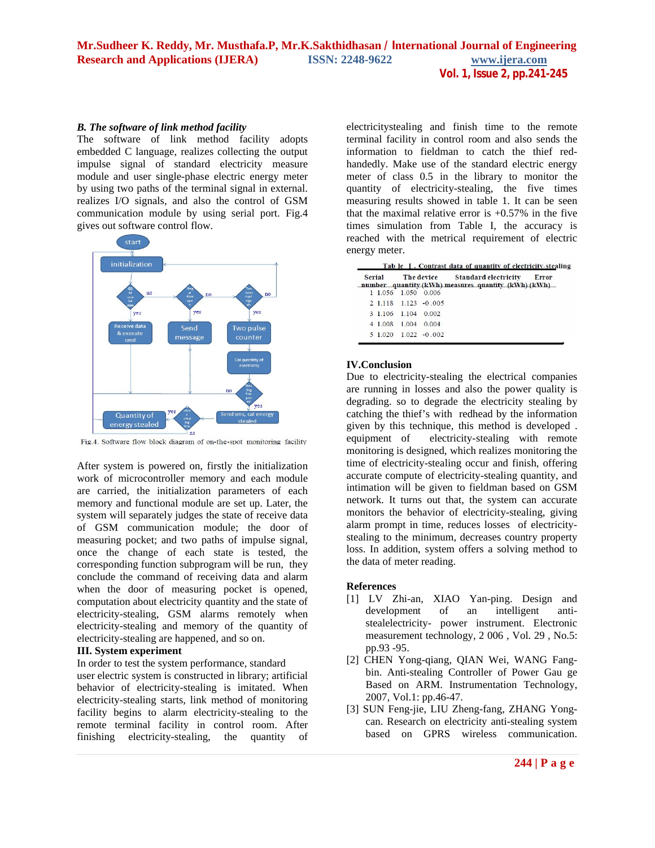# *B. The software of link method facility*

The software of link method facility adopts embedded C language, realizes collecting the output impulse signal of standard electricity measure module and user single-phase electric energy meter by using two paths of the terminal signal in external. realizes I/O signals, and also the control of GSM communication module by using serial port. Fig.4 gives out software control flow.



Fig.4. Software flow block diagram of on-the-spot monitoring facility

After system is powered on, firstly the initialization work of microcontroller memory and each module are carried, the initialization parameters of each memory and functional module are set up. Later, the system will separately judges the state of receive data of GSM communication module; the door of measuring pocket; and two paths of impulse signal, once the change of each state is tested, the corresponding function subprogram will be run, they conclude the command of receiving data and alarm when the door of measuring pocket is opened, computation about electricity quantity and the state of electricity-stealing, GSM alarms remotely when electricity-stealing and memory of the quantity of electricity-stealing are happened, and so on.

# **III. System experiment**

In order to test the system performance, standard user electric system is constructed in library; artificial behavior of electricity-stealing is imitated. When electricity-stealing starts, link method of monitoring facility begins to alarm electricity-stealing to the remote terminal facility in control room. After finishing electricity-stealing, the quantity of

electricitystealing and finish time to the remote terminal facility in control room and also sends the information to fieldman to catch the thief redhandedly. Make use of the standard electric energy meter of class 0.5 in the library to monitor the quantity of electricity-stealing, the five times measuring results showed in table 1. It can be seen that the maximal relative error is  $+0.57\%$  in the five times simulation from Table I, the accuracy is reached with the metrical requirement of electric energy meter.

| Error | The device Standard electricity<br>number quantity (kWh) measures quantity (kWh) $(kWh)$ |       |                      |         | Serial |  |
|-------|------------------------------------------------------------------------------------------|-------|----------------------|---------|--------|--|
|       |                                                                                          |       | 1 1.056 1.050 0.006  |         |        |  |
|       |                                                                                          |       | 2 1.118 1.123 -0.005 |         |        |  |
|       |                                                                                          |       | 3 1.106 1.104 0.002  |         |        |  |
|       |                                                                                          | 0.004 | 1004                 | 4 1 008 |        |  |
|       |                                                                                          |       | $51020$ $1022 - 002$ |         |        |  |

# **IV.Conclusion**

Due to electricity-stealing the electrical companies are running in losses and also the power quality is degrading. so to degrade the electricity stealing by catching the thief's with redhead by the information given by this technique, this method is developed . equipment of electricity-stealing with remote monitoring is designed, which realizes monitoring the time of electricity-stealing occur and finish, offering accurate compute of electricity-stealing quantity, and intimation will be given to fieldman based on GSM network. It turns out that, the system can accurate monitors the behavior of electricity-stealing, giving alarm prompt in time, reduces losses of electricitystealing to the minimum, decreases country property loss. In addition, system offers a solving method to the data of meter reading.

## **References**

- [1] LV Zhi-an, XIAO Yan-ping. Design and development of an intelligent antistealelectricity- power instrument. Electronic measurement technology, 2 006 , Vol. 29 , No.5: pp.93 -95.
- [2] CHEN Yong-qiang, QIAN Wei, WANG Fangbin. Anti-stealing Controller of Power Gau ge Based on ARM. Instrumentation Technology, 2007, Vol.1: pp.46-47.
- [3] SUN Feng-jie, LIU Zheng-fang, ZHANG Yongcan. Research on electricity anti-stealing system based on GPRS wireless communication.